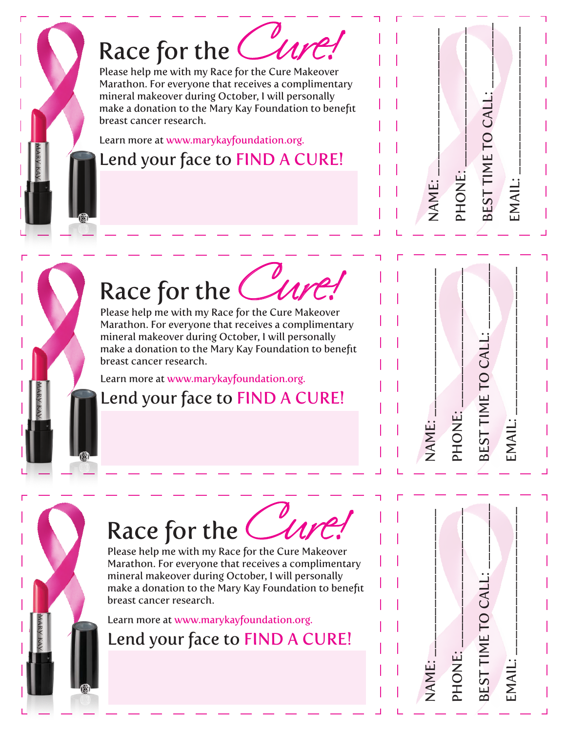